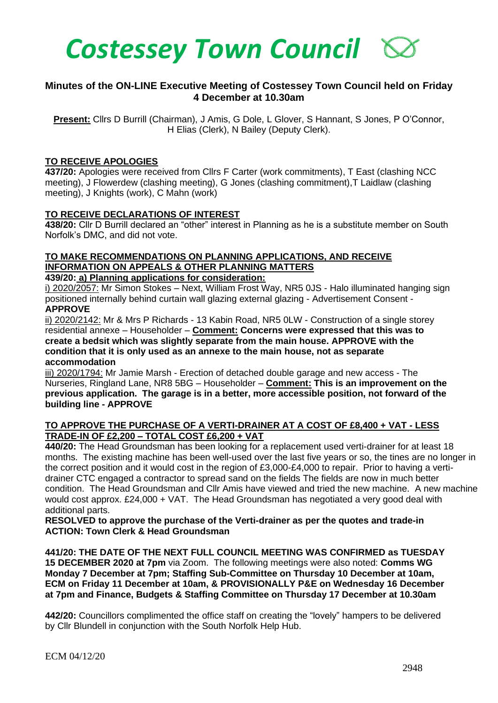

## **Minutes of the ON-LINE Executive Meeting of Costessey Town Council held on Friday 4 December at 10.30am**

**Present:** Cllrs D Burrill (Chairman), J Amis, G Dole, L Glover, S Hannant, S Jones, P O'Connor, H Elias (Clerk), N Bailey (Deputy Clerk).

### **TO RECEIVE APOLOGIES**

**437/20:** Apologies were received from Cllrs F Carter (work commitments), T East (clashing NCC meeting), J Flowerdew (clashing meeting), G Jones (clashing commitment),T Laidlaw (clashing meeting), J Knights (work), C Mahn (work)

### **TO RECEIVE DECLARATIONS OF INTEREST**

**438/20:** Cllr D Burrill declared an "other" interest in Planning as he is a substitute member on South Norfolk's DMC, and did not vote.

# **TO MAKE RECOMMENDATIONS ON PLANNING APPLICATIONS, AND RECEIVE INFORMATION ON APPEALS & OTHER PLANNING MATTERS**

### **439/20: a) Planning applications for consideration:**

i) 2020/2057: Mr Simon Stokes – Next, William Frost Way, NR5 0JS - Halo illuminated hanging sign positioned internally behind curtain wall glazing external glazing - Advertisement Consent - **APPROVE**

ii) 2020/2142: Mr & Mrs P Richards - 13 Kabin Road, NR5 0LW - Construction of a single storey residential annexe – Householder – **Comment: Concerns were expressed that this was to create a bedsit which was slightly separate from the main house. APPROVE with the condition that it is only used as an annexe to the main house, not as separate accommodation**

iii) 2020/1794: Mr Jamie Marsh - Erection of detached double garage and new access - The Nurseries, Ringland Lane, NR8 5BG – Householder – **Comment: This is an improvement on the previous application. The garage is in a better, more accessible position, not forward of the building line - APPROVE**

### **TO APPROVE THE PURCHASE OF A VERTI-DRAINER AT A COST OF £8,400 + VAT - LESS TRADE-IN OF £2,200 – TOTAL COST £6,200 + VAT**

**440/20:** The Head Groundsman has been looking for a replacement used verti-drainer for at least 18 months. The existing machine has been well-used over the last five years or so, the tines are no longer in the correct position and it would cost in the region of £3,000-£4,000 to repair. Prior to having a vertidrainer CTC engaged a contractor to spread sand on the fields The fields are now in much better condition. The Head Groundsman and Cllr Amis have viewed and tried the new machine. A new machine would cost approx. £24,000 + VAT. The Head Groundsman has negotiated a very good deal with additional parts.

### **RESOLVED to approve the purchase of the Verti-drainer as per the quotes and trade-in ACTION: Town Clerk & Head Groundsman**

**441/20: THE DATE OF THE NEXT FULL COUNCIL MEETING WAS CONFIRMED as TUESDAY 15 DECEMBER 2020 at 7pm** via Zoom. The following meetings were also noted: **Comms WG Monday 7 December at 7pm; Staffing Sub-Committee on Thursday 10 December at 10am, ECM on Friday 11 December at 10am, & PROVISIONALLY P&E on Wednesday 16 December at 7pm and Finance, Budgets & Staffing Committee on Thursday 17 December at 10.30am**

**442/20:** Councillors complimented the office staff on creating the "lovely" hampers to be delivered by Cllr Blundell in conjunction with the South Norfolk Help Hub.